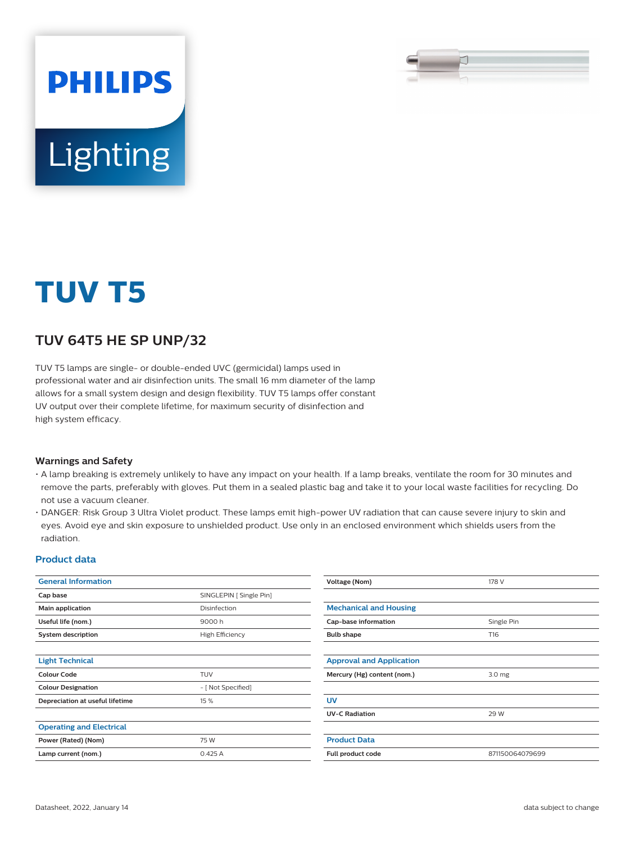

# Lighting

**PHILIPS** 

# **TUV T5**

### **TUV 64T5 HE SP UNP/32**

TUV T5 lamps are single- or double-ended UVC (germicidal) lamps used in professional water and air disinfection units. The small 16 mm diameter of the lamp allows for a small system design and design flexibility. TUV T5 lamps offer constant UV output over their complete lifetime, for maximum security of disinfection and high system efficacy.

#### **Warnings and Safety**

- A lamp breaking is extremely unlikely to have any impact on your health. If a lamp breaks, ventilate the room for 30 minutes and remove the parts, preferably with gloves. Put them in a sealed plastic bag and take it to your local waste facilities for recycling. Do not use a vacuum cleaner.
- DANGER: Risk Group 3 Ultra Violet product. These lamps emit high-power UV radiation that can cause severe injury to skin and eyes. Avoid eye and skin exposure to unshielded product. Use only in an enclosed environment which shields users from the radiation.

#### **Product data**

| <b>General Information</b>      |                         | Voltage (Nom)                         | 178 V           |  |
|---------------------------------|-------------------------|---------------------------------------|-----------------|--|
| Cap base                        | SINGLEPIN [ Single Pin] |                                       |                 |  |
| Main application                | Disinfection            | <b>Mechanical and Housing</b>         |                 |  |
| Useful life (nom.)              | 9000h                   | Cap-base information<br>Single Pin    |                 |  |
| <b>System description</b>       | High Efficiency         | <b>Bulb shape</b>                     | T16             |  |
|                                 |                         |                                       |                 |  |
| <b>Light Technical</b>          |                         | <b>Approval and Application</b>       |                 |  |
| <b>Colour Code</b>              | <b>TUV</b>              | Mercury (Hg) content (nom.)<br>3.0 mg |                 |  |
| <b>Colour Designation</b>       | - [ Not Specified]      |                                       |                 |  |
| Depreciation at useful lifetime | 15 %                    | <b>UV</b>                             |                 |  |
|                                 |                         | <b>UV-C Radiation</b>                 | 29 W            |  |
| <b>Operating and Electrical</b> |                         |                                       |                 |  |
| Power (Rated) (Nom)             | 75 W                    | <b>Product Data</b>                   |                 |  |
| Lamp current (nom.)             | 0.425A                  | Full product code                     | 871150064079699 |  |
|                                 |                         |                                       |                 |  |